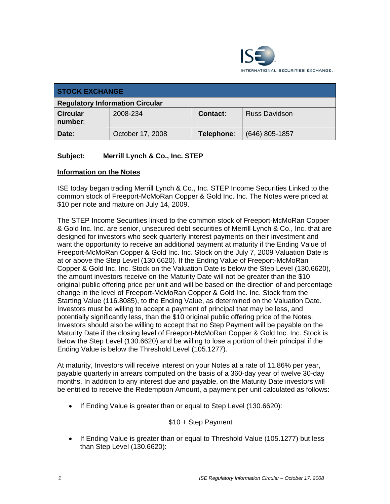

| <b>STOCK EXCHANGE</b>                  |                  |                 |                      |  |  |
|----------------------------------------|------------------|-----------------|----------------------|--|--|
| <b>Regulatory Information Circular</b> |                  |                 |                      |  |  |
| <b>Circular</b><br>number:             | 2008-234         | <b>Contact:</b> | <b>Russ Davidson</b> |  |  |
| Date:                                  | October 17, 2008 | Telephone:      | $(646)$ 805-1857     |  |  |

## **Subject: Merrill Lynch & Co., Inc. STEP**

## **Information on the Notes**

ISE today began trading Merrill Lynch & Co., Inc. STEP Income Securities Linked to the common stock of Freeport-McMoRan Copper & Gold Inc. Inc. The Notes were priced at \$10 per note and mature on July 14, 2009.

The STEP Income Securities linked to the common stock of Freeport-McMoRan Copper & Gold Inc. Inc. are senior, unsecured debt securities of Merrill Lynch & Co., Inc. that are designed for investors who seek quarterly interest payments on their investment and want the opportunity to receive an additional payment at maturity if the Ending Value of Freeport-McMoRan Copper & Gold Inc. Inc. Stock on the July 7, 2009 Valuation Date is at or above the Step Level (130.6620). If the Ending Value of Freeport-McMoRan Copper & Gold Inc. Inc. Stock on the Valuation Date is below the Step Level (130.6620), the amount investors receive on the Maturity Date will not be greater than the \$10 original public offering price per unit and will be based on the direction of and percentage change in the level of Freeport-McMoRan Copper & Gold Inc. Inc. Stock from the Starting Value (116.8085), to the Ending Value, as determined on the Valuation Date. Investors must be willing to accept a payment of principal that may be less, and potentially significantly less, than the \$10 original public offering price of the Notes. Investors should also be willing to accept that no Step Payment will be payable on the Maturity Date if the closing level of Freeport-McMoRan Copper & Gold Inc. Inc. Stock is below the Step Level (130.6620) and be willing to lose a portion of their principal if the Ending Value is below the Threshold Level (105.1277).

At maturity, Investors will receive interest on your Notes at a rate of 11.86% per year, payable quarterly in arrears computed on the basis of a 360-day year of twelve 30-day months. In addition to any interest due and payable, on the Maturity Date investors will be entitled to receive the Redemption Amount, a payment per unit calculated as follows:

• If Ending Value is greater than or equal to Step Level (130.6620):

## \$10 + Step Payment

• If Ending Value is greater than or equal to Threshold Value (105.1277) but less than Step Level (130.6620):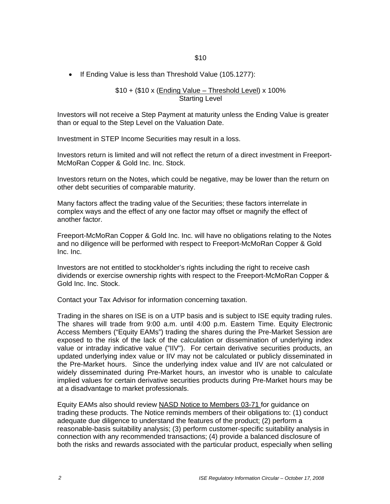• If Ending Value is less than Threshold Value (105.1277):

\$10 + (\$10 x (Ending Value – Threshold Level) x 100% Starting Level

Investors will not receive a Step Payment at maturity unless the Ending Value is greater than or equal to the Step Level on the Valuation Date.

Investment in STEP Income Securities may result in a loss.

Investors return is limited and will not reflect the return of a direct investment in Freeport-McMoRan Copper & Gold Inc. Inc. Stock.

Investors return on the Notes, which could be negative, may be lower than the return on other debt securities of comparable maturity.

Many factors affect the trading value of the Securities; these factors interrelate in complex ways and the effect of any one factor may offset or magnify the effect of another factor.

Freeport-McMoRan Copper & Gold Inc. Inc. will have no obligations relating to the Notes and no diligence will be performed with respect to Freeport-McMoRan Copper & Gold Inc. Inc.

Investors are not entitled to stockholder's rights including the right to receive cash dividends or exercise ownership rights with respect to the Freeport-McMoRan Copper & Gold Inc. Inc. Stock.

Contact your Tax Advisor for information concerning taxation.

Trading in the shares on ISE is on a UTP basis and is subject to ISE equity trading rules. The shares will trade from 9:00 a.m. until 4:00 p.m. Eastern Time. Equity Electronic Access Members ("Equity EAMs") trading the shares during the Pre-Market Session are exposed to the risk of the lack of the calculation or dissemination of underlying index value or intraday indicative value ("IIV"). For certain derivative securities products, an updated underlying index value or IIV may not be calculated or publicly disseminated in the Pre-Market hours. Since the underlying index value and IIV are not calculated or widely disseminated during Pre-Market hours, an investor who is unable to calculate implied values for certain derivative securities products during Pre-Market hours may be at a disadvantage to market professionals.

Equity EAMs also should review NASD Notice to Members 03-71 for guidance on trading these products. The Notice reminds members of their obligations to: (1) conduct adequate due diligence to understand the features of the product; (2) perform a reasonable-basis suitability analysis; (3) perform customer-specific suitability analysis in connection with any recommended transactions; (4) provide a balanced disclosure of both the risks and rewards associated with the particular product, especially when selling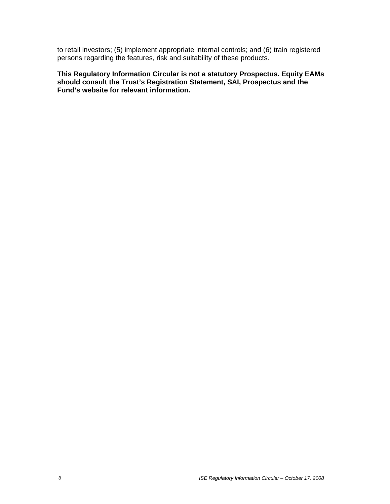to retail investors; (5) implement appropriate internal controls; and (6) train registered persons regarding the features, risk and suitability of these products.

**This Regulatory Information Circular is not a statutory Prospectus. Equity EAMs should consult the Trust's Registration Statement, SAI, Prospectus and the Fund's website for relevant information.**